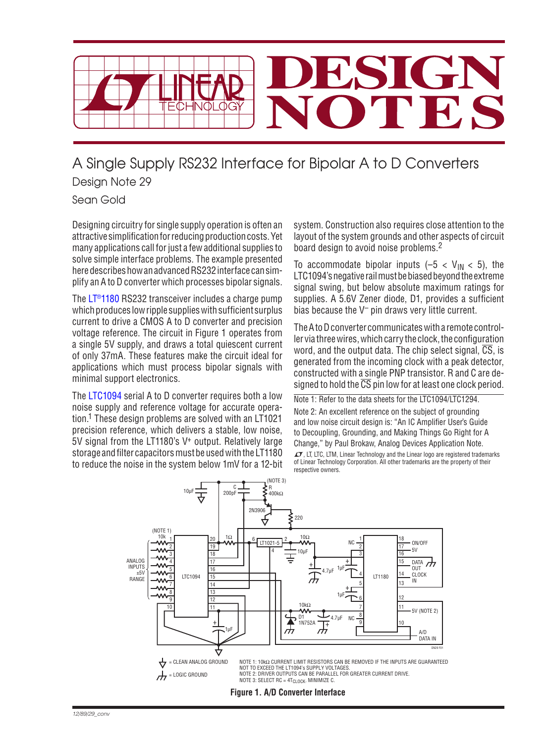

## A Single Supply RS232 Interface for Bipolar A to D Converters

Design Note 29

Sean Gold

Designing circuitry for single supply operation is often an attractive simplification for reducing production costs. Yet many applications call for just a few additional supplies to solve simple interface problems. The example presented here describes how an advanced RS232 interface can simplify an A to D converter which processes bipolar signals.

The [LT®1180](http://www.linear.com/LT1180A) RS232 transceiver includes a charge pump which produces low ripple supplies with sufficient surplus current to drive a CMOS A to D converter and precision voltage reference. The circuit in Figure 1 operates from a single 5V supply, and draws a total quiescent current of only 37mA. These features make the circuit ideal for applications which must process bipolar signals with minimal support electronics.

The [LTC1094](http://www.linear.com/LTC1094) serial A to D converter requires both a low noise supply and reference voltage for accurate operation. <sup>1</sup> These design problems are solved with an LT1021 precision reference, which delivers a stable, low noise, 5V signal from the LT1180's V+ output. Relatively large storage and filter capacitors must be used with the LT1180 to reduce the noise in the system below 1mV for a 12-bit system. Construction also requires close attention to the layout of the system grounds and other aspects of circuit board design to avoid noise problems. 2

To accommodate bipolar inputs (-5 <  $V_{IN}$  < 5), the LTC1094's negative rail must be biased beyond the extreme signal swing, but below absolute maximum ratings for supplies. A 5.6V Zener diode, D1, provides a sufficient bias because the V– pin draws very little current.

TheAtoDconverter communicateswitha remote controller via three wires, which carry the clock, the configuration word, and the output data. The chip select signal,  $\overline{CS}$ , is generated from the incoming clock with a peak detector, constructed with a single PNP transistor. R and C are designed to hold the  $\overline{CS}$  pin low for at least one clock period.

Note 1: Refer to the data sheets for the LTC1094/LTC1294. Note 2: An excellent reference on the subject of grounding and low noise circuit design is: "An IC Amplifier User's Guide to Decoupling, Grounding, and Making Things Go Right for A Change," by Paul Brokaw, Analog Devices Application Note.

 $LT$ , LT, LTC, LTM, Linear Technology and the Linear logo are registered trademarks of Linear Technology Corporation. All other trademarks are the property of their respective owners.